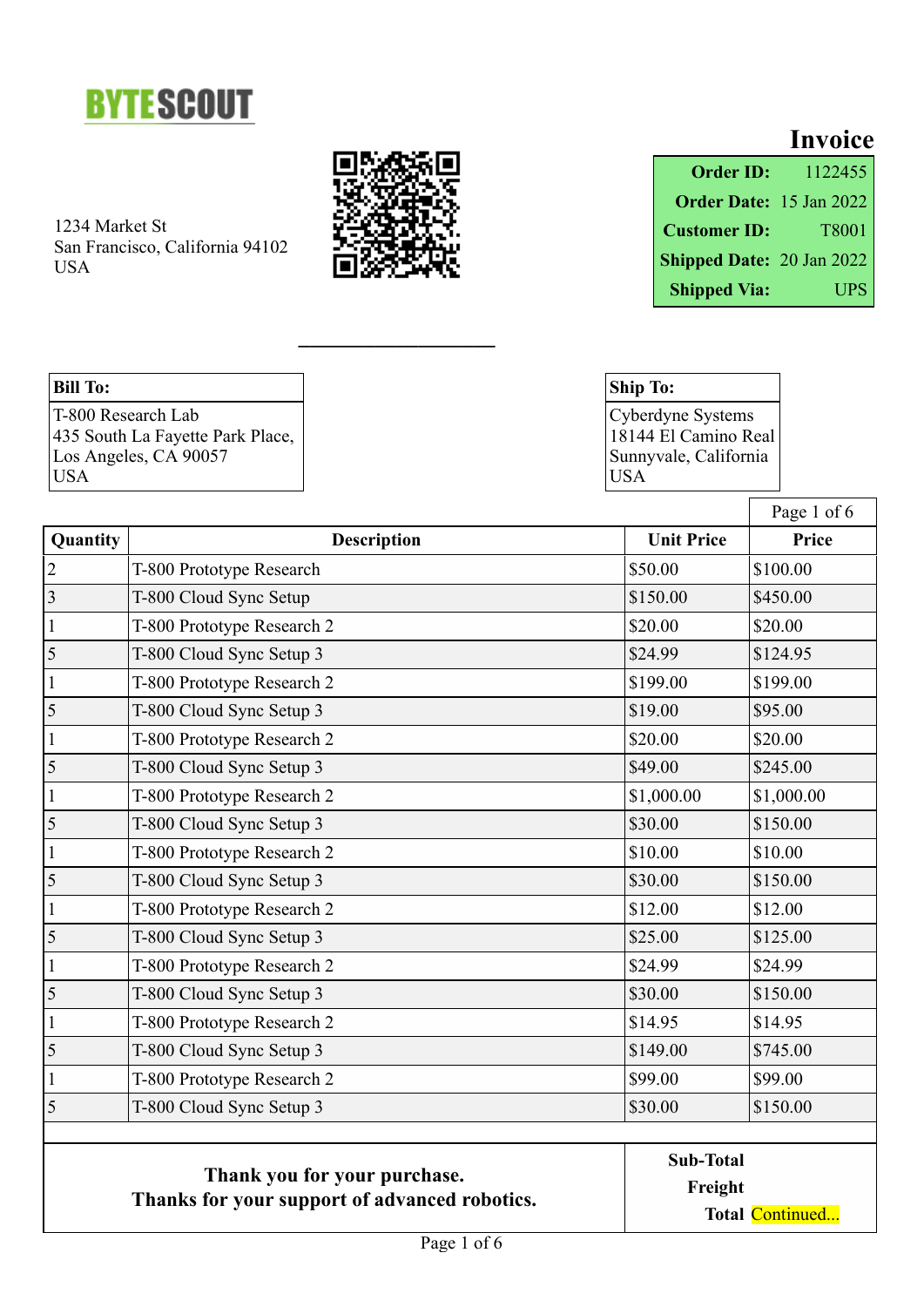



 $\overline{\phantom{a}}$  , where  $\overline{\phantom{a}}$  , where  $\overline{\phantom{a}}$  , where  $\overline{\phantom{a}}$  , where  $\overline{\phantom{a}}$ 

|                           | <b>Invoice</b> |
|---------------------------|----------------|
| <b>Order ID:</b>          | 1122455        |
| Order Date: 15 Jan 2022   |                |
| <b>Customer ID:</b>       | T8001          |
| Shipped Date: 20 Jan 2022 |                |
| <b>Shipped Via:</b>       | UPS            |

#### **Bill To:**

T-800 Research Lab 435 South La Fayette Park Place, Los Angeles, CA 90057 USA

**Ship To:** Cyberdyne Systems 18144 El Camino Real Sunnyvale, California USA

|                                                                               |                            |                   | Page 1 of 6 |
|-------------------------------------------------------------------------------|----------------------------|-------------------|-------------|
| Quantity                                                                      | <b>Description</b>         | <b>Unit Price</b> | Price       |
| $\overline{2}$                                                                | T-800 Prototype Research   | \$50.00           | \$100.00    |
| $\overline{3}$                                                                | T-800 Cloud Sync Setup     | \$150.00          | \$450.00    |
| $\mathbf 1$                                                                   | T-800 Prototype Research 2 | \$20.00           | \$20.00     |
| 5                                                                             | T-800 Cloud Sync Setup 3   | \$24.99           | \$124.95    |
| $\mathbf{1}$                                                                  | T-800 Prototype Research 2 | \$199.00          | \$199.00    |
| 5                                                                             | T-800 Cloud Sync Setup 3   | \$19.00           | \$95.00     |
| $\mathbf{1}$                                                                  | T-800 Prototype Research 2 | \$20.00           | \$20.00     |
| $\overline{\mathbf{5}}$                                                       | T-800 Cloud Sync Setup 3   | \$49.00           | \$245.00    |
| $\mathbf{1}$                                                                  | T-800 Prototype Research 2 | \$1,000.00        | \$1,000.00  |
| 5                                                                             | T-800 Cloud Sync Setup 3   | \$30.00           | \$150.00    |
| $\mathbf{1}$                                                                  | T-800 Prototype Research 2 | \$10.00           | \$10.00     |
| 5                                                                             | T-800 Cloud Sync Setup 3   | \$30.00           | \$150.00    |
| $\mathbf{1}$                                                                  | T-800 Prototype Research 2 | \$12.00           | \$12.00     |
| 5                                                                             | T-800 Cloud Sync Setup 3   | \$25.00           | \$125.00    |
| $\mathbf{1}$                                                                  | T-800 Prototype Research 2 | \$24.99           | \$24.99     |
| 5                                                                             | T-800 Cloud Sync Setup 3   | \$30.00           | \$150.00    |
| $\mathbf{1}$                                                                  | T-800 Prototype Research 2 | \$14.95           | \$14.95     |
| 5                                                                             | T-800 Cloud Sync Setup 3   | \$149.00          | \$745.00    |
| $\mathbf 1$                                                                   | T-800 Prototype Research 2 | \$99.00           | \$99.00     |
| 5                                                                             | T-800 Cloud Sync Setup 3   | \$30.00           | \$150.00    |
|                                                                               | <b>Sub-Total</b>           |                   |             |
| Thank you for your purchase.<br>Thanks for your support of advanced robotics. |                            | Freight           |             |
|                                                                               |                            | Total Continued   |             |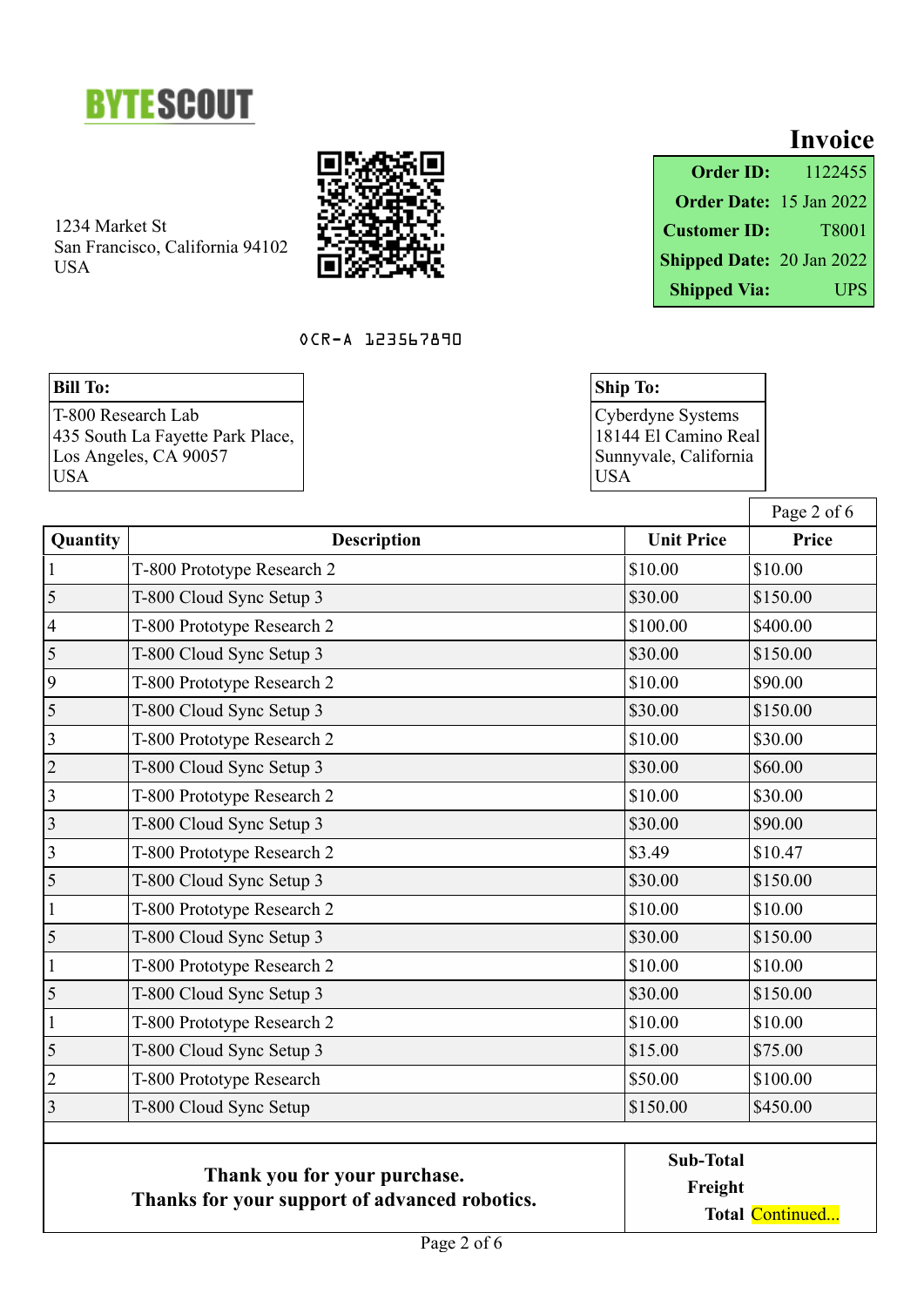



## OCR-A 123567890

# **Bill To:**

|                           | <b>Invoice</b>                 |
|---------------------------|--------------------------------|
| <b>Order ID:</b>          | 1122455                        |
|                           | <b>Order Date:</b> 15 Jan 2022 |
| <b>Customer ID:</b>       | T8001                          |
| Shipped Date: 20 Jan 2022 |                                |
| <b>Shipped Via:</b>       | <b>UPS</b>                     |

| <b>Ship To:</b>       |
|-----------------------|
| Cyberdyne Systems     |
| 18144 El Camino Real  |
| Sunnyvale, California |
| USA                   |

|                                                                               |                            |                   | Page 2 of 6     |
|-------------------------------------------------------------------------------|----------------------------|-------------------|-----------------|
| Quantity                                                                      | <b>Description</b>         | <b>Unit Price</b> | Price           |
| $\mathbf{1}$                                                                  | T-800 Prototype Research 2 | \$10.00           | \$10.00         |
| 5                                                                             | T-800 Cloud Sync Setup 3   | \$30.00           | \$150.00        |
| $\overline{4}$                                                                | T-800 Prototype Research 2 | \$100.00          | \$400.00        |
| 5                                                                             | T-800 Cloud Sync Setup 3   | \$30.00           | \$150.00        |
| 9                                                                             | T-800 Prototype Research 2 | \$10.00           | \$90.00         |
| 5                                                                             | T-800 Cloud Sync Setup 3   | \$30.00           | \$150.00        |
| 3                                                                             | T-800 Prototype Research 2 | \$10.00           | \$30.00         |
| $\overline{2}$                                                                | T-800 Cloud Sync Setup 3   | \$30.00           | \$60.00         |
| $\overline{3}$                                                                | T-800 Prototype Research 2 | \$10.00           | \$30.00         |
| $\mathfrak{Z}$                                                                | T-800 Cloud Sync Setup 3   | \$30.00           | \$90.00         |
| $\mathfrak{Z}$                                                                | T-800 Prototype Research 2 | \$3.49            | \$10.47         |
| 5                                                                             | T-800 Cloud Sync Setup 3   | \$30.00           | \$150.00        |
| $\mathbf{1}$                                                                  | T-800 Prototype Research 2 | \$10.00           | \$10.00         |
| 5                                                                             | T-800 Cloud Sync Setup 3   | \$30.00           | \$150.00        |
| $\mathbf{1}$                                                                  | T-800 Prototype Research 2 | \$10.00           | \$10.00         |
| 5                                                                             | T-800 Cloud Sync Setup 3   | \$30.00           | \$150.00        |
| $\mathbf{1}$                                                                  | T-800 Prototype Research 2 | \$10.00           | \$10.00         |
| 5                                                                             | T-800 Cloud Sync Setup 3   | \$15.00           | \$75.00         |
| $\overline{2}$                                                                | T-800 Prototype Research   | \$50.00           | \$100.00        |
| 3                                                                             | T-800 Cloud Sync Setup     | \$150.00          | \$450.00        |
| Thank you for your purchase.<br>Thanks for your support of advanced robotics. |                            | <b>Sub-Total</b>  |                 |
|                                                                               |                            | Freight           |                 |
|                                                                               |                            |                   | Total Continued |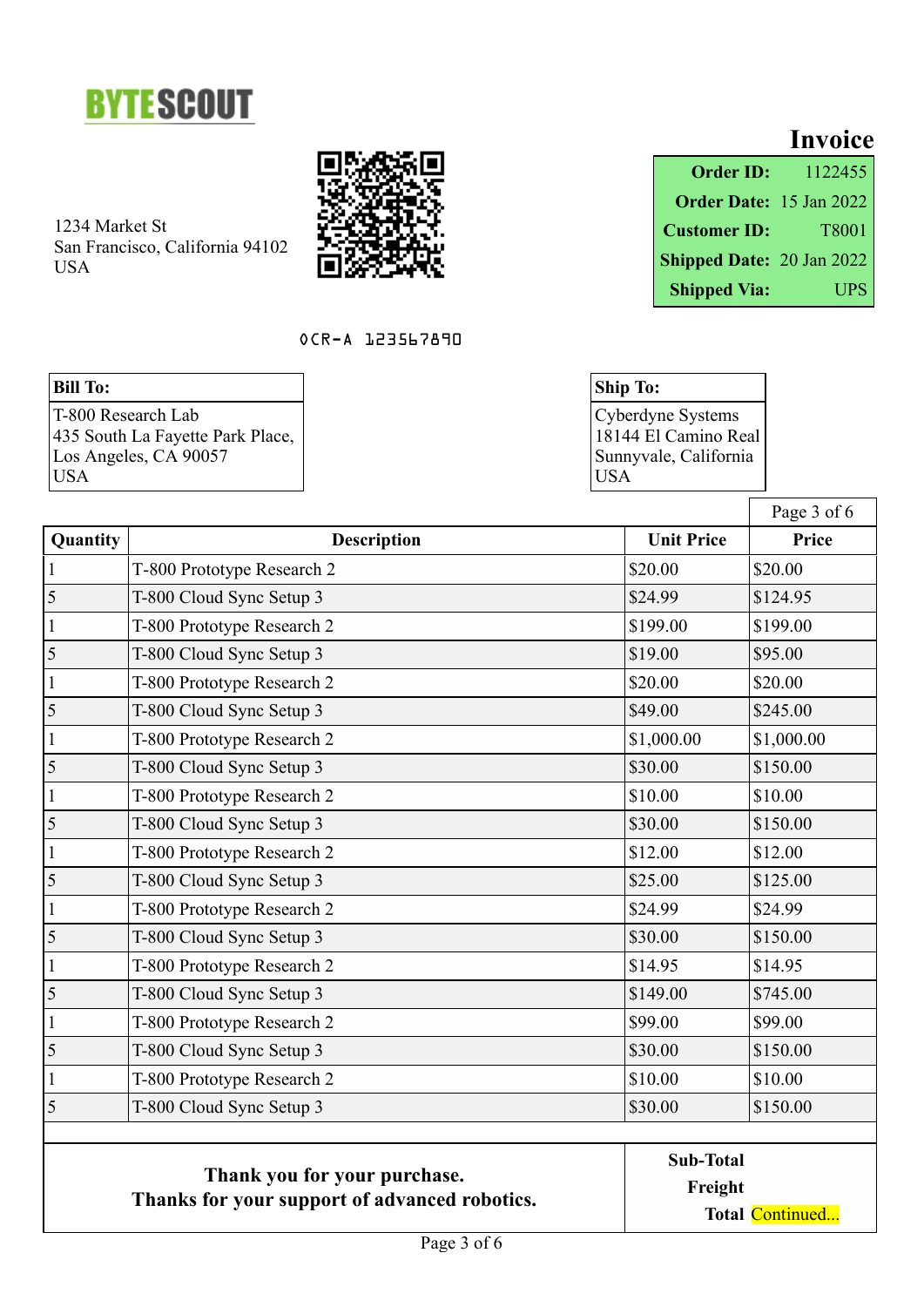



## OCR-A 123567890

# **Bill To:**

|                           | <b>Invoice</b>                 |
|---------------------------|--------------------------------|
| <b>Order ID:</b>          | 1122455                        |
|                           | <b>Order Date:</b> 15 Jan 2022 |
| <b>Customer ID:</b>       | T8001                          |
| Shipped Date: 20 Jan 2022 |                                |
| <b>Shipped Via:</b>       | <b>UPS</b>                     |

| <b>Ship To:</b>       |
|-----------------------|
| Cyberdyne Systems     |
| 18144 El Camino Real  |
| Sunnyvale, California |
| USA                   |

|                                                                               |                            |                   | Page 3 of 6     |
|-------------------------------------------------------------------------------|----------------------------|-------------------|-----------------|
| Quantity                                                                      | <b>Description</b>         | <b>Unit Price</b> | Price           |
| $\mathbf{1}$                                                                  | T-800 Prototype Research 2 | \$20.00           | \$20.00         |
| 5                                                                             | T-800 Cloud Sync Setup 3   | \$24.99           | \$124.95        |
| $\mathbf{1}$                                                                  | T-800 Prototype Research 2 | \$199.00          | \$199.00        |
| 5                                                                             | T-800 Cloud Sync Setup 3   | \$19.00           | \$95.00         |
| $\mathbf{1}$                                                                  | T-800 Prototype Research 2 | \$20.00           | \$20.00         |
| 5                                                                             | T-800 Cloud Sync Setup 3   | \$49.00           | \$245.00        |
| $\mathbf{1}$                                                                  | T-800 Prototype Research 2 | \$1,000.00        | \$1,000.00      |
| 5                                                                             | T-800 Cloud Sync Setup 3   | \$30.00           | \$150.00        |
| $\mathbf{1}$                                                                  | T-800 Prototype Research 2 | \$10.00           | \$10.00         |
| 5                                                                             | T-800 Cloud Sync Setup 3   | \$30.00           | \$150.00        |
| $\mathbf{1}$                                                                  | T-800 Prototype Research 2 | \$12.00           | \$12.00         |
| 5                                                                             | T-800 Cloud Sync Setup 3   | \$25.00           | \$125.00        |
| $\mathbf{1}$                                                                  | T-800 Prototype Research 2 | \$24.99           | \$24.99         |
| 5                                                                             | T-800 Cloud Sync Setup 3   | \$30.00           | \$150.00        |
| $\mathbf{1}$                                                                  | T-800 Prototype Research 2 | \$14.95           | \$14.95         |
| 5                                                                             | T-800 Cloud Sync Setup 3   | \$149.00          | \$745.00        |
| $\mathbf{1}$                                                                  | T-800 Prototype Research 2 | \$99.00           | \$99.00         |
| 5                                                                             | T-800 Cloud Sync Setup 3   | \$30.00           | \$150.00        |
| $\mathbf{1}$                                                                  | T-800 Prototype Research 2 | \$10.00           | \$10.00         |
| 5                                                                             | T-800 Cloud Sync Setup 3   | \$30.00           | \$150.00        |
| Thank you for your purchase.<br>Thanks for your support of advanced robotics. |                            | <b>Sub-Total</b>  |                 |
|                                                                               |                            | Freight           |                 |
|                                                                               |                            |                   | Total Continued |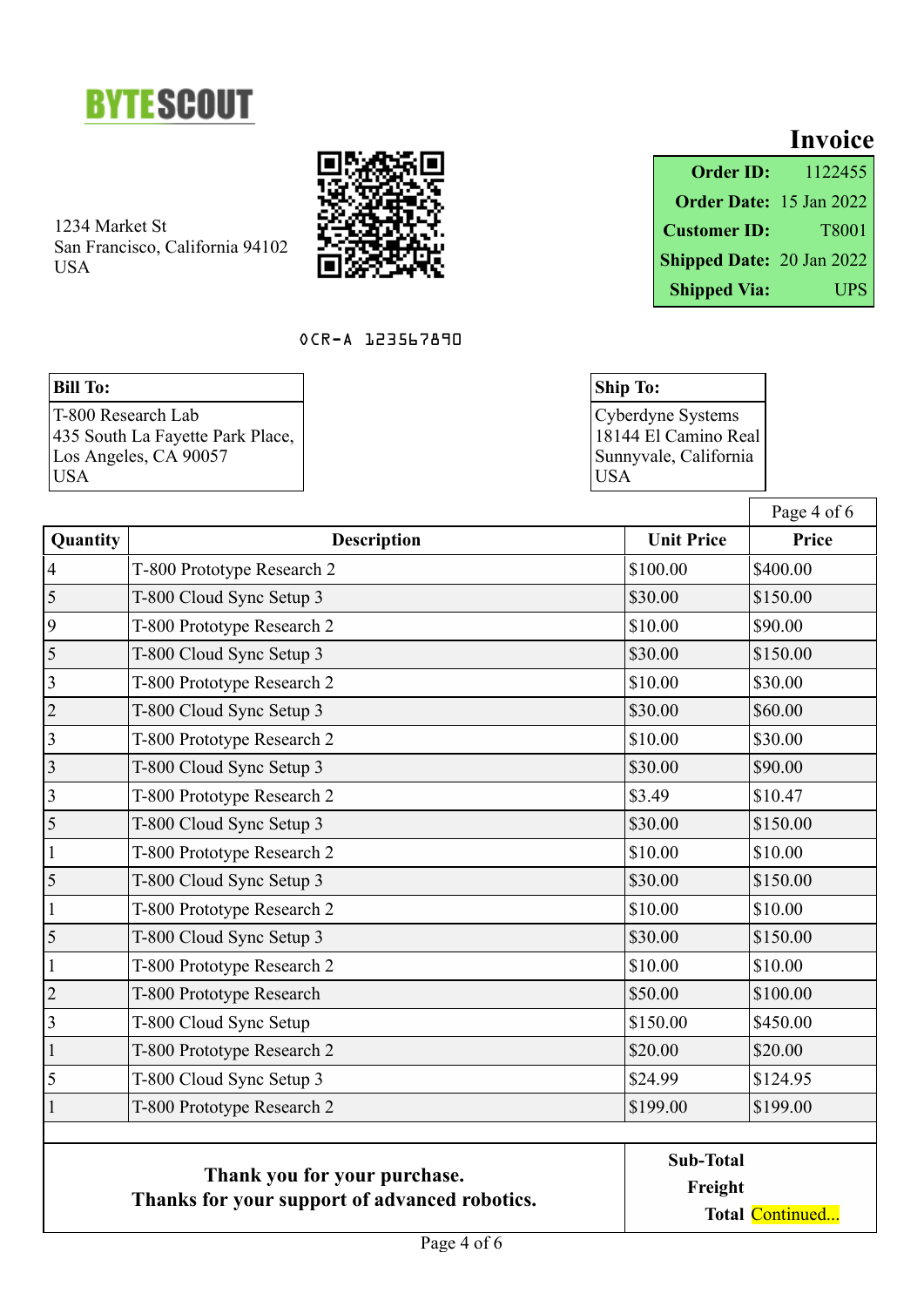



## OCR-A 123567890

# **Bill To:**

|                           | <b>Invoice</b>          |
|---------------------------|-------------------------|
| <b>Order ID:</b>          | 1122455                 |
|                           | Order Date: 15 Jan 2022 |
| <b>Customer ID:</b>       | T8001                   |
| Shipped Date: 20 Jan 2022 |                         |
| <b>Shipped Via:</b>       | <b>UPS</b>              |

| <b>Ship To:</b>       |
|-----------------------|
| Cyberdyne Systems     |
| 18144 El Camino Real  |
| Sunnyvale, California |
| USA                   |

|                                               |                              |                   | Page 4 of 6     |
|-----------------------------------------------|------------------------------|-------------------|-----------------|
| Quantity                                      | <b>Description</b>           | <b>Unit Price</b> | Price           |
| $\overline{4}$                                | T-800 Prototype Research 2   | \$100.00          | \$400.00        |
| $\overline{5}$                                | T-800 Cloud Sync Setup 3     | \$30.00           | \$150.00        |
| 9                                             | T-800 Prototype Research 2   | \$10.00           | \$90.00         |
| 5                                             | T-800 Cloud Sync Setup 3     | \$30.00           | \$150.00        |
| $\overline{3}$                                | T-800 Prototype Research 2   | \$10.00           | \$30.00         |
| $\overline{c}$                                | T-800 Cloud Sync Setup 3     | \$30.00           | \$60.00         |
| $\overline{3}$                                | T-800 Prototype Research 2   | \$10.00           | \$30.00         |
| $\overline{3}$                                | T-800 Cloud Sync Setup 3     | \$30.00           | \$90.00         |
| $\overline{3}$                                | T-800 Prototype Research 2   | \$3.49            | \$10.47         |
| 5                                             | T-800 Cloud Sync Setup 3     | \$30.00           | \$150.00        |
| $\mathbf 1$                                   | T-800 Prototype Research 2   | \$10.00           | \$10.00         |
| 5                                             | T-800 Cloud Sync Setup 3     | \$30.00           | \$150.00        |
| $\mathbf{1}$                                  | T-800 Prototype Research 2   | \$10.00           | \$10.00         |
| 5                                             | T-800 Cloud Sync Setup 3     | \$30.00           | \$150.00        |
| $\mathbf{1}$                                  | T-800 Prototype Research 2   | \$10.00           | \$10.00         |
| $\overline{2}$                                | T-800 Prototype Research     | \$50.00           | \$100.00        |
| 3                                             | T-800 Cloud Sync Setup       | \$150.00          | \$450.00        |
| $\mathbf{1}$                                  | T-800 Prototype Research 2   | \$20.00           | \$20.00         |
| 5                                             | T-800 Cloud Sync Setup 3     | \$24.99           | \$124.95        |
| $\mathbf{1}$                                  | T-800 Prototype Research 2   | \$199.00          | \$199.00        |
|                                               |                              | <b>Sub-Total</b>  |                 |
|                                               | Thank you for your purchase. |                   | Freight         |
| Thanks for your support of advanced robotics. |                              |                   | Total Continued |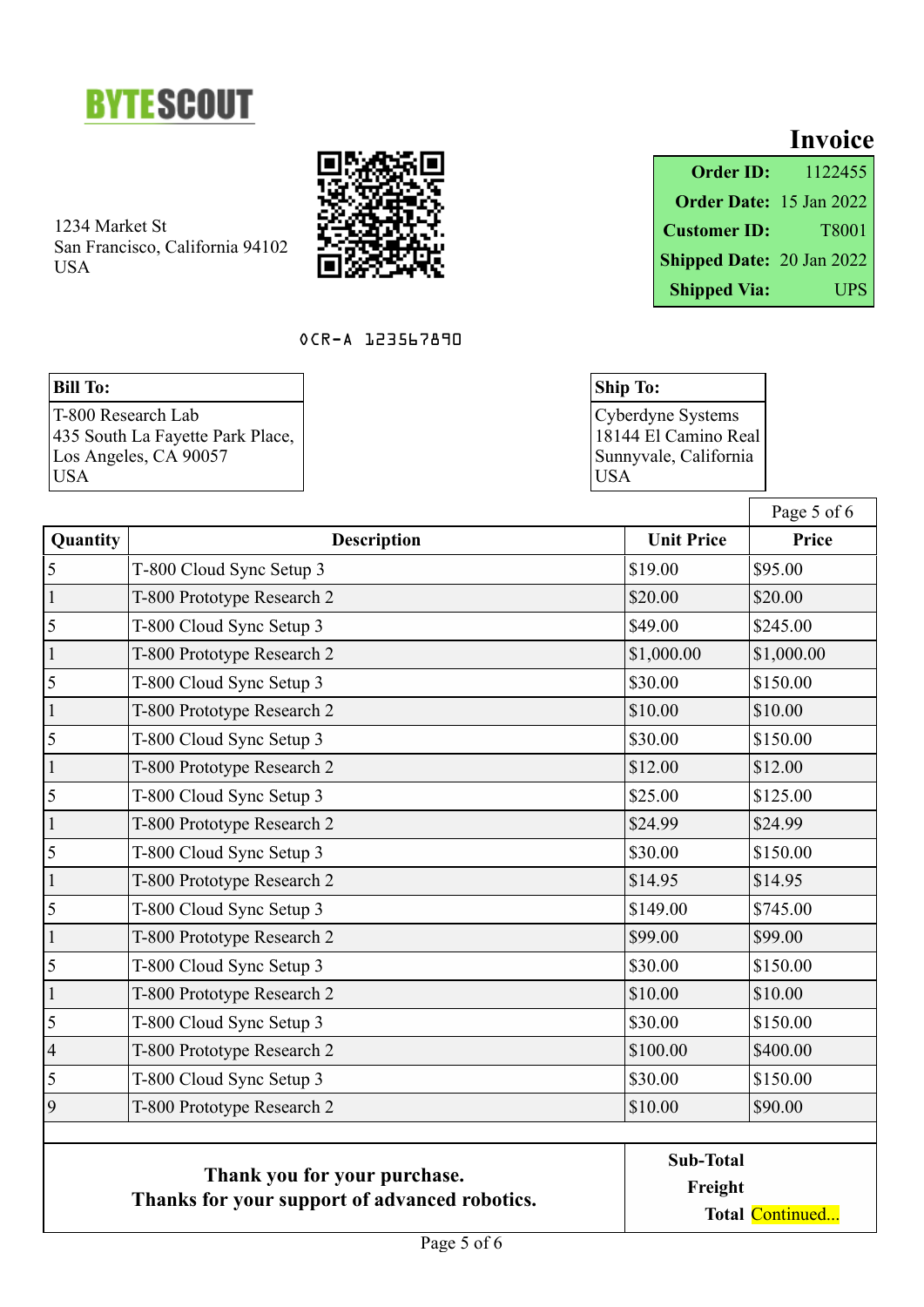



#### OCR-A 123567890

# **Bill To:**

|                           | <b>Invoice</b>          |
|---------------------------|-------------------------|
| <b>Order ID:</b>          | 1122455                 |
|                           | Order Date: 15 Jan 2022 |
| <b>Customer ID:</b>       | T8001                   |
| Shipped Date: 20 Jan 2022 |                         |
| <b>Shipped Via:</b>       | UPS                     |

| <b>Ship To:</b>       |
|-----------------------|
| Cyberdyne Systems     |
| 18144 El Camino Real  |
| Sunnyvale, California |
| USA                   |

|                          |                                                                               |                   | Page 5 of 6     |  |
|--------------------------|-------------------------------------------------------------------------------|-------------------|-----------------|--|
| Quantity                 | <b>Description</b>                                                            | <b>Unit Price</b> | Price           |  |
| 5                        | T-800 Cloud Sync Setup 3                                                      | \$19.00           | \$95.00         |  |
| $\mathbf{1}$             | T-800 Prototype Research 2                                                    | \$20.00           | \$20.00         |  |
| 5                        | T-800 Cloud Sync Setup 3                                                      | \$49.00           | \$245.00        |  |
| $\mathbf{1}$             | T-800 Prototype Research 2                                                    | \$1,000.00        | \$1,000.00      |  |
| 5                        | T-800 Cloud Sync Setup 3                                                      | \$30.00           | \$150.00        |  |
| $\mathbf{1}$             | T-800 Prototype Research 2                                                    | \$10.00           | \$10.00         |  |
| 5                        | T-800 Cloud Sync Setup 3                                                      | \$30.00           | \$150.00        |  |
| $\mathbf{1}$             | T-800 Prototype Research 2                                                    | \$12.00           | \$12.00         |  |
| 5                        | T-800 Cloud Sync Setup 3                                                      | \$25.00           | \$125.00        |  |
| $\mathbf{1}$             | T-800 Prototype Research 2                                                    | \$24.99           | \$24.99         |  |
| 5                        | T-800 Cloud Sync Setup 3                                                      | \$30.00           | \$150.00        |  |
| $\mathbf{1}$             | T-800 Prototype Research 2                                                    | \$14.95           | \$14.95         |  |
| 5                        | T-800 Cloud Sync Setup 3                                                      | \$149.00          | \$745.00        |  |
| $\mathbf{1}$             | T-800 Prototype Research 2                                                    | \$99.00           | \$99.00         |  |
| 5                        | T-800 Cloud Sync Setup 3                                                      | \$30.00           | \$150.00        |  |
| $\mathbf{1}$             | T-800 Prototype Research 2                                                    | \$10.00           | \$10.00         |  |
| 5                        | T-800 Cloud Sync Setup 3                                                      | \$30.00           | \$150.00        |  |
| $\overline{\mathcal{L}}$ | T-800 Prototype Research 2                                                    | \$100.00          | \$400.00        |  |
| 5                        | T-800 Cloud Sync Setup 3                                                      | \$30.00           | \$150.00        |  |
| 9                        | T-800 Prototype Research 2                                                    | \$10.00           | \$90.00         |  |
|                          |                                                                               | <b>Sub-Total</b>  |                 |  |
|                          | Thank you for your purchase.<br>Thanks for your support of advanced robotics. | Freight           |                 |  |
|                          |                                                                               |                   | Total Continued |  |